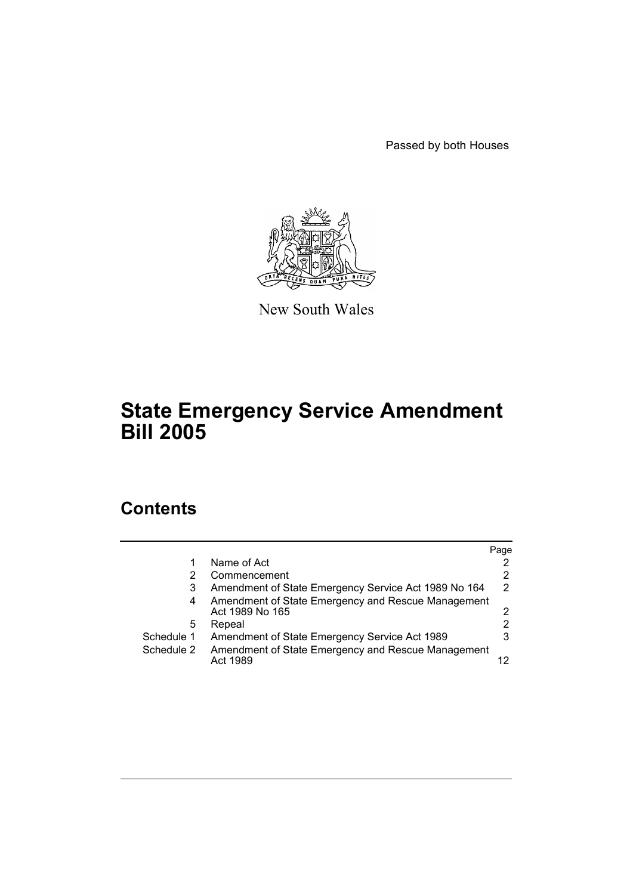Passed by both Houses



New South Wales

# **State Emergency Service Amendment Bill 2005**

# **Contents**

|            |                                                                       | Page          |
|------------|-----------------------------------------------------------------------|---------------|
|            | Name of Act                                                           |               |
|            | Commencement                                                          | 2             |
| 3          | Amendment of State Emergency Service Act 1989 No 164                  | $\mathcal{P}$ |
| 4          | Amendment of State Emergency and Rescue Management<br>Act 1989 No 165 | 2             |
| 5          | Repeal                                                                |               |
| Schedule 1 | Amendment of State Emergency Service Act 1989                         | 3             |
| Schedule 2 | Amendment of State Emergency and Rescue Management<br>Act 1989        |               |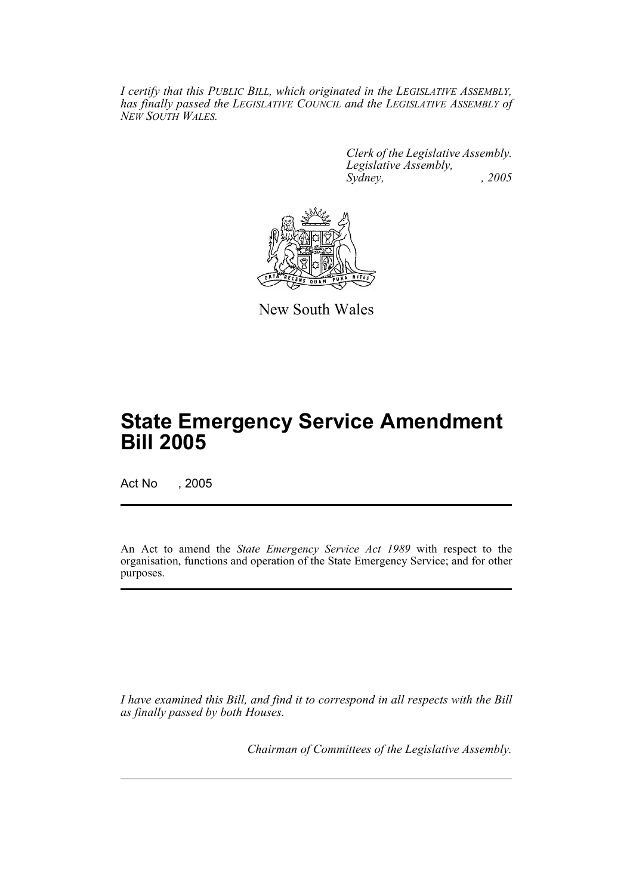*I certify that this PUBLIC BILL, which originated in the LEGISLATIVE ASSEMBLY, has finally passed the LEGISLATIVE COUNCIL and the LEGISLATIVE ASSEMBLY of NEW SOUTH WALES.*

> *Clerk of the Legislative Assembly. Legislative Assembly, Sydney, , 2005*



New South Wales

# **State Emergency Service Amendment Bill 2005**

Act No , 2005

An Act to amend the *State Emergency Service Act 1989* with respect to the organisation, functions and operation of the State Emergency Service; and for other purposes.

*I have examined this Bill, and find it to correspond in all respects with the Bill as finally passed by both Houses.*

*Chairman of Committees of the Legislative Assembly.*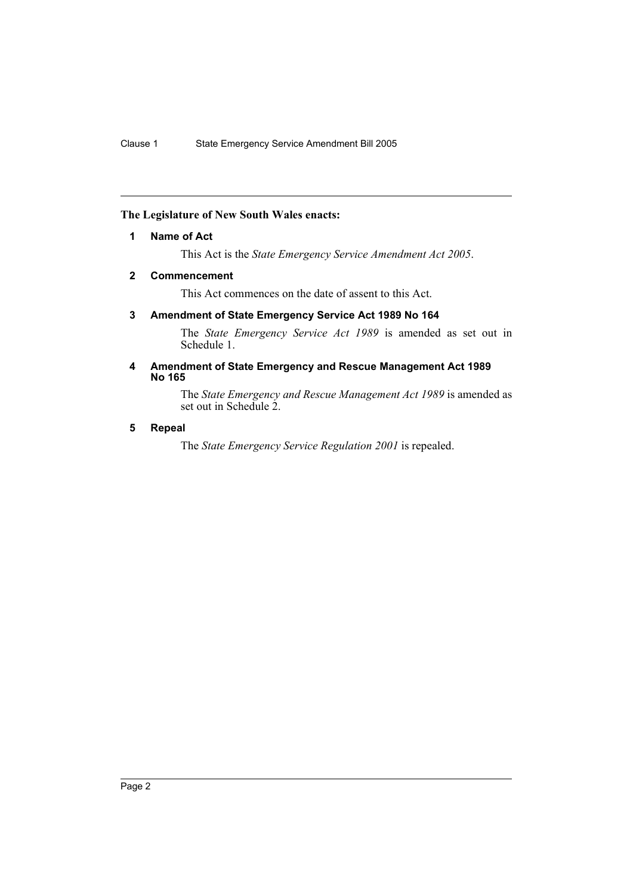# **The Legislature of New South Wales enacts:**

## **1 Name of Act**

This Act is the *State Emergency Service Amendment Act 2005*.

# **2 Commencement**

This Act commences on the date of assent to this Act.

# **3 Amendment of State Emergency Service Act 1989 No 164**

The *State Emergency Service Act 1989* is amended as set out in Schedule 1.

#### **4 Amendment of State Emergency and Rescue Management Act 1989 No 165**

The *State Emergency and Rescue Management Act 1989* is amended as set out in Schedule 2.

# **5 Repeal**

The *State Emergency Service Regulation 2001* is repealed.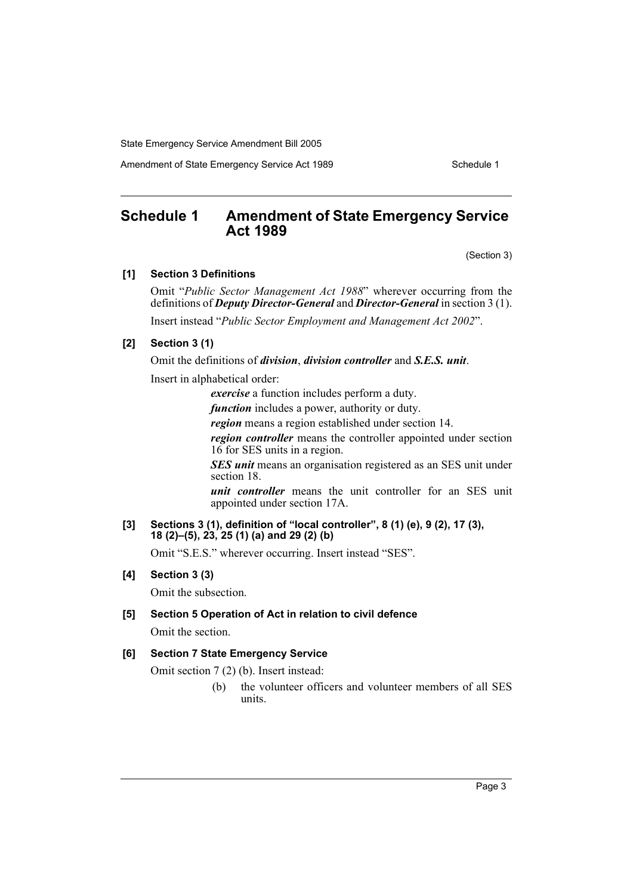Amendment of State Emergency Service Act 1989 Schedule 1

# **Schedule 1 Amendment of State Emergency Service Act 1989**

(Section 3)

# **[1] Section 3 Definitions**

Omit "*Public Sector Management Act 1988*" wherever occurring from the definitions of *Deputy Director-General* and *Director-General* in section 3 (1).

Insert instead "*Public Sector Employment and Management Act 2002*".

# **[2] Section 3 (1)**

Omit the definitions of *division*, *division controller* and *S.E.S. unit*.

Insert in alphabetical order:

*exercise* a function includes perform a duty.

*function* includes a power, authority or duty.

*region* means a region established under section 14.

*region controller* means the controller appointed under section 16 for SES units in a region.

*SES unit* means an organisation registered as an SES unit under section 18.

*unit controller* means the unit controller for an SES unit appointed under section 17A.

#### **[3] Sections 3 (1), definition of "local controller", 8 (1) (e), 9 (2), 17 (3), 18 (2)–(5), 23, 25 (1) (a) and 29 (2) (b)**

Omit "S.E.S." wherever occurring. Insert instead "SES".

# **[4] Section 3 (3)**

Omit the subsection.

**[5] Section 5 Operation of Act in relation to civil defence** Omit the section.

#### **[6] Section 7 State Emergency Service**

Omit section 7 (2) (b). Insert instead:

(b) the volunteer officers and volunteer members of all SES units.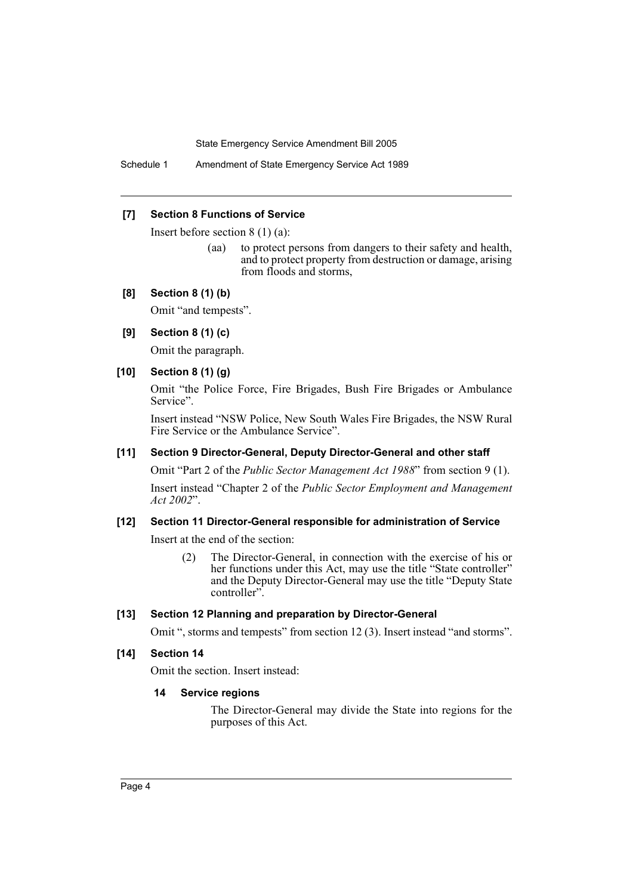Schedule 1 Amendment of State Emergency Service Act 1989

#### **[7] Section 8 Functions of Service**

Insert before section 8 (1) (a):

(aa) to protect persons from dangers to their safety and health, and to protect property from destruction or damage, arising from floods and storms,

#### **[8] Section 8 (1) (b)**

Omit "and tempests".

#### **[9] Section 8 (1) (c)**

Omit the paragraph.

### **[10] Section 8 (1) (g)**

Omit "the Police Force, Fire Brigades, Bush Fire Brigades or Ambulance Service".

Insert instead "NSW Police, New South Wales Fire Brigades, the NSW Rural Fire Service or the Ambulance Service".

#### **[11] Section 9 Director-General, Deputy Director-General and other staff**

Omit "Part 2 of the *Public Sector Management Act 1988*" from section 9 (1). Insert instead "Chapter 2 of the *Public Sector Employment and Management Act 2002*".

#### **[12] Section 11 Director-General responsible for administration of Service**

Insert at the end of the section:

(2) The Director-General, in connection with the exercise of his or her functions under this Act, may use the title "State controller" and the Deputy Director-General may use the title "Deputy State controller".

#### **[13] Section 12 Planning and preparation by Director-General**

Omit ", storms and tempests" from section 12 (3). Insert instead "and storms".

### **[14] Section 14**

Omit the section. Insert instead:

#### **14 Service regions**

The Director-General may divide the State into regions for the purposes of this Act.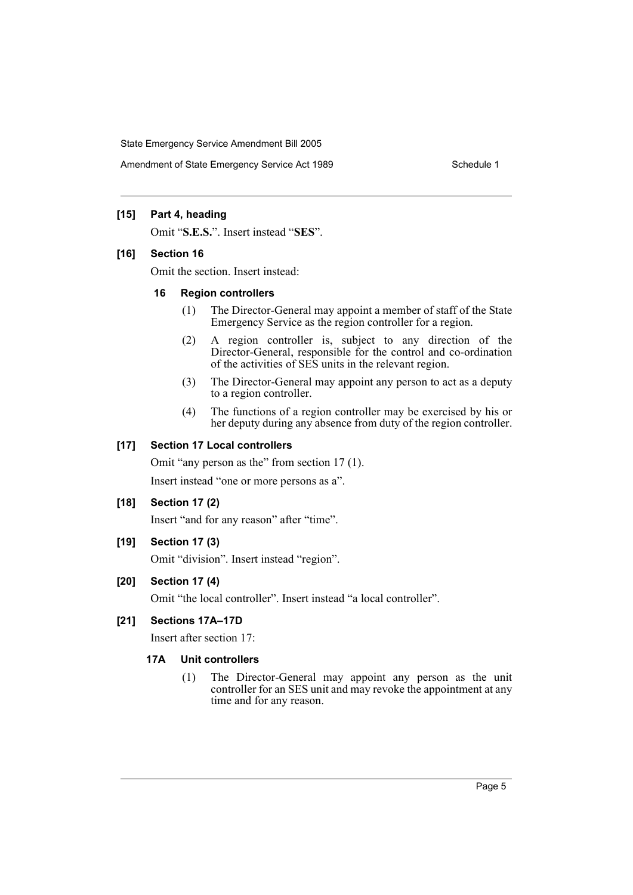Amendment of State Emergency Service Act 1989 Schedule 1

## **[15] Part 4, heading**

Omit "**S.E.S.**". Insert instead "**SES**".

#### **[16] Section 16**

Omit the section. Insert instead:

#### **16 Region controllers**

- (1) The Director-General may appoint a member of staff of the State Emergency Service as the region controller for a region.
- (2) A region controller is, subject to any direction of the Director-General, responsible for the control and co-ordination of the activities of SES units in the relevant region.
- (3) The Director-General may appoint any person to act as a deputy to a region controller.
- (4) The functions of a region controller may be exercised by his or her deputy during any absence from duty of the region controller.

#### **[17] Section 17 Local controllers**

Omit "any person as the" from section 17 (1).

Insert instead "one or more persons as a".

# **[18] Section 17 (2)**

Insert "and for any reason" after "time".

# **[19] Section 17 (3)**

Omit "division". Insert instead "region".

#### **[20] Section 17 (4)**

Omit "the local controller". Insert instead "a local controller".

#### **[21] Sections 17A–17D**

Insert after section 17:

#### **17A Unit controllers**

(1) The Director-General may appoint any person as the unit controller for an SES unit and may revoke the appointment at any time and for any reason.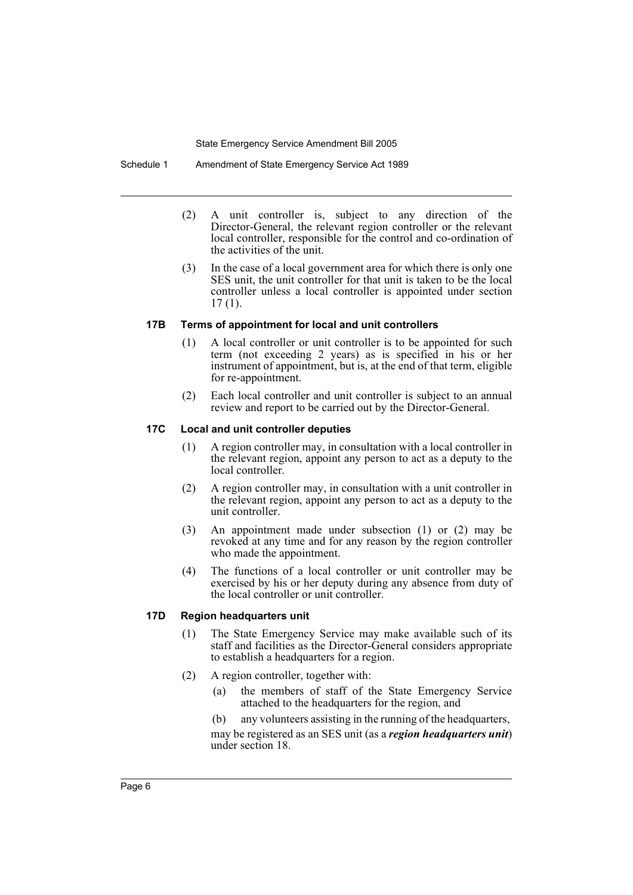Schedule 1 Amendment of State Emergency Service Act 1989

- (2) A unit controller is, subject to any direction of the Director-General, the relevant region controller or the relevant local controller, responsible for the control and co-ordination of the activities of the unit.
- (3) In the case of a local government area for which there is only one SES unit, the unit controller for that unit is taken to be the local controller unless a local controller is appointed under section 17 (1).

#### **17B Terms of appointment for local and unit controllers**

- (1) A local controller or unit controller is to be appointed for such term (not exceeding 2 years) as is specified in his or her instrument of appointment, but is, at the end of that term, eligible for re-appointment.
- (2) Each local controller and unit controller is subject to an annual review and report to be carried out by the Director-General.

#### **17C Local and unit controller deputies**

- (1) A region controller may, in consultation with a local controller in the relevant region, appoint any person to act as a deputy to the local controller.
- (2) A region controller may, in consultation with a unit controller in the relevant region, appoint any person to act as a deputy to the unit controller.
- (3) An appointment made under subsection (1) or (2) may be revoked at any time and for any reason by the region controller who made the appointment.
- (4) The functions of a local controller or unit controller may be exercised by his or her deputy during any absence from duty of the local controller or unit controller.

# **17D Region headquarters unit**

- (1) The State Emergency Service may make available such of its staff and facilities as the Director-General considers appropriate to establish a headquarters for a region.
- (2) A region controller, together with:
	- (a) the members of staff of the State Emergency Service attached to the headquarters for the region, and

(b) any volunteers assisting in the running of the headquarters, may be registered as an SES unit (as a *region headquarters unit*) under section 18.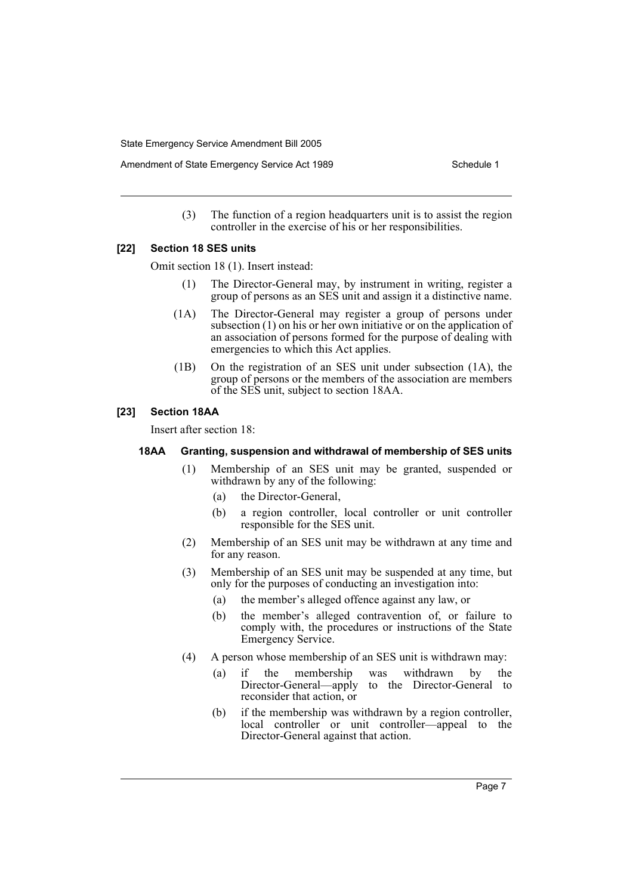Amendment of State Emergency Service Act 1989 Schedule 1

(3) The function of a region headquarters unit is to assist the region controller in the exercise of his or her responsibilities.

#### **[22] Section 18 SES units**

Omit section 18 (1). Insert instead:

- (1) The Director-General may, by instrument in writing, register a group of persons as an SES unit and assign it a distinctive name.
- (1A) The Director-General may register a group of persons under subsection (1) on his or her own initiative or on the application of an association of persons formed for the purpose of dealing with emergencies to which this Act applies.
- (1B) On the registration of an SES unit under subsection (1A), the group of persons or the members of the association are members of the SES unit, subject to section 18AA.

#### **[23] Section 18AA**

Insert after section 18:

#### **18AA Granting, suspension and withdrawal of membership of SES units**

- (1) Membership of an SES unit may be granted, suspended or withdrawn by any of the following:
	- (a) the Director-General,
	- (b) a region controller, local controller or unit controller responsible for the SES unit.
- (2) Membership of an SES unit may be withdrawn at any time and for any reason.
- (3) Membership of an SES unit may be suspended at any time, but only for the purposes of conducting an investigation into:
	- (a) the member's alleged offence against any law, or
	- (b) the member's alleged contravention of, or failure to comply with, the procedures or instructions of the State Emergency Service.
- (4) A person whose membership of an SES unit is withdrawn may:
	- (a) if the membership was withdrawn by the Director-General—apply to the Director-General to reconsider that action, or
	- (b) if the membership was withdrawn by a region controller, local controller or unit controller—appeal to the Director-General against that action.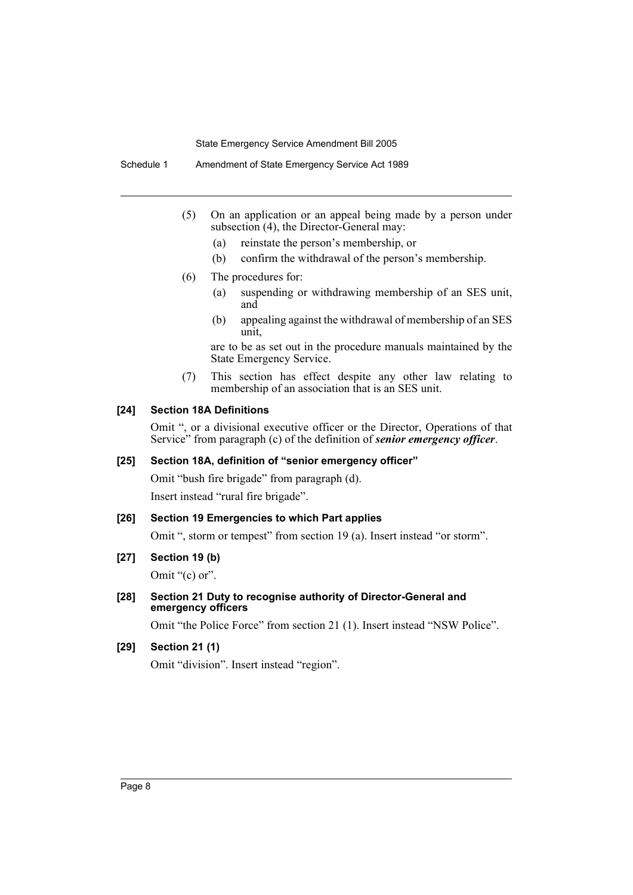Schedule 1 Amendment of State Emergency Service Act 1989

- (5) On an application or an appeal being made by a person under subsection (4), the Director-General may:
	- (a) reinstate the person's membership, or
	- (b) confirm the withdrawal of the person's membership.
- (6) The procedures for:
	- (a) suspending or withdrawing membership of an SES unit, and
	- (b) appealing against the withdrawal of membership of an SES unit,

are to be as set out in the procedure manuals maintained by the State Emergency Service.

(7) This section has effect despite any other law relating to membership of an association that is an SES unit.

## **[24] Section 18A Definitions**

Omit ", or a divisional executive officer or the Director, Operations of that Service" from paragraph (c) of the definition of *senior emergency officer*.

# **[25] Section 18A, definition of "senior emergency officer"**

Omit "bush fire brigade" from paragraph (d).

Insert instead "rural fire brigade".

#### **[26] Section 19 Emergencies to which Part applies**

Omit ", storm or tempest" from section 19 (a). Insert instead "or storm".

# **[27] Section 19 (b)**

Omit "(c) or".

#### **[28] Section 21 Duty to recognise authority of Director-General and emergency officers**

Omit "the Police Force" from section 21 (1). Insert instead "NSW Police".

# **[29] Section 21 (1)**

Omit "division". Insert instead "region".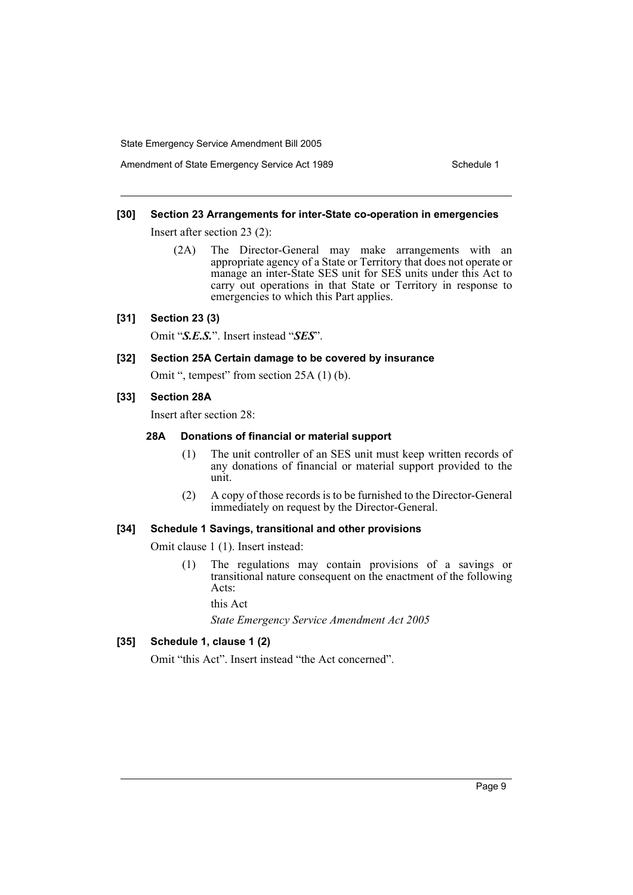Amendment of State Emergency Service Act 1989 Schedule 1

#### **[30] Section 23 Arrangements for inter-State co-operation in emergencies**

Insert after section 23 (2):

(2A) The Director-General may make arrangements with an appropriate agency of a State or Territory that does not operate or manage an inter-State SES unit for SES units under this Act to carry out operations in that State or Territory in response to emergencies to which this Part applies.

#### **[31] Section 23 (3)**

Omit "*S.E.S.*". Insert instead "*SES*".

**[32] Section 25A Certain damage to be covered by insurance**

Omit ", tempest" from section 25A (1) (b).

#### **[33] Section 28A**

Insert after section 28:

#### **28A Donations of financial or material support**

- (1) The unit controller of an SES unit must keep written records of any donations of financial or material support provided to the unit.
- (2) A copy of those records is to be furnished to the Director-General immediately on request by the Director-General.

## **[34] Schedule 1 Savings, transitional and other provisions**

Omit clause 1 (1). Insert instead:

(1) The regulations may contain provisions of a savings or transitional nature consequent on the enactment of the following Acts:

this Act

*State Emergency Service Amendment Act 2005*

# **[35] Schedule 1, clause 1 (2)**

Omit "this Act". Insert instead "the Act concerned".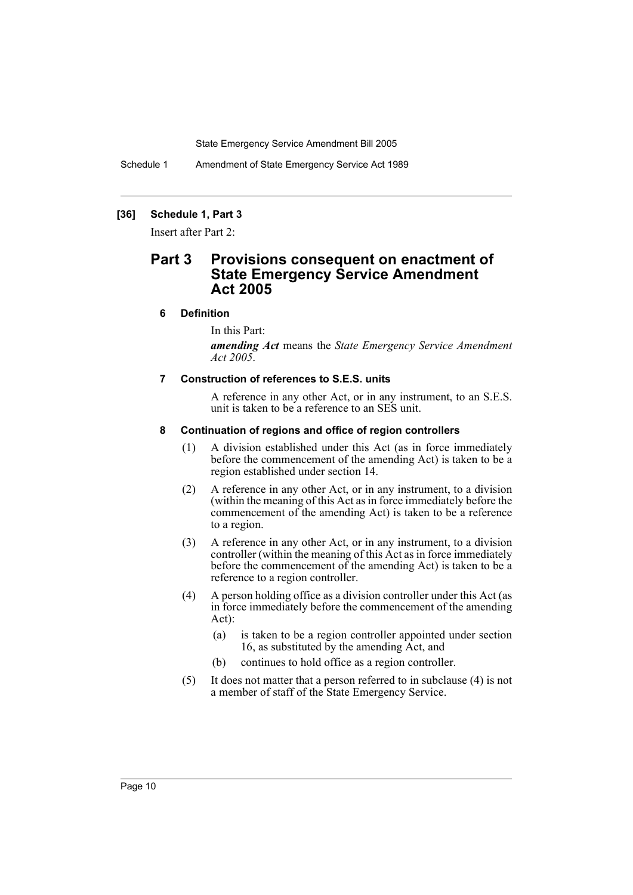Schedule 1 Amendment of State Emergency Service Act 1989

# **[36] Schedule 1, Part 3**

Insert after Part 2:

# **Part 3 Provisions consequent on enactment of State Emergency Service Amendment Act 2005**

#### **6 Definition**

In this Part:

*amending Act* means the *State Emergency Service Amendment Act 2005*.

#### **7 Construction of references to S.E.S. units**

A reference in any other Act, or in any instrument, to an S.E.S. unit is taken to be a reference to an SES unit.

#### **8 Continuation of regions and office of region controllers**

- (1) A division established under this Act (as in force immediately before the commencement of the amending Act) is taken to be a region established under section 14.
- (2) A reference in any other Act, or in any instrument, to a division (within the meaning of this Act as in force immediately before the commencement of the amending Act) is taken to be a reference to a region.
- (3) A reference in any other Act, or in any instrument, to a division controller (within the meaning of this Act as in force immediately before the commencement of the amending Act) is taken to be a reference to a region controller.
- (4) A person holding office as a division controller under this Act (as in force immediately before the commencement of the amending Act):
	- (a) is taken to be a region controller appointed under section 16, as substituted by the amending Act, and
	- (b) continues to hold office as a region controller.
- (5) It does not matter that a person referred to in subclause (4) is not a member of staff of the State Emergency Service.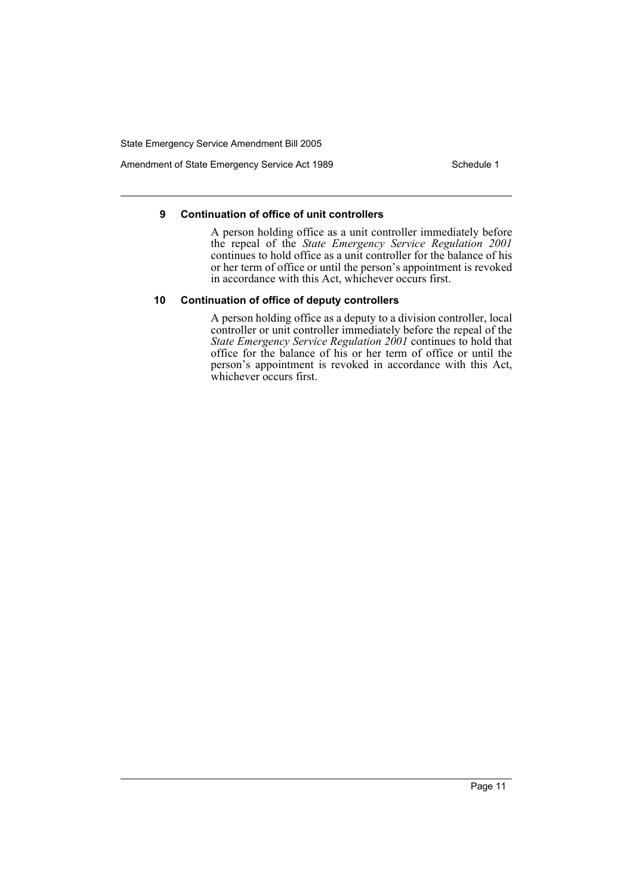Amendment of State Emergency Service Act 1989 Schedule 1

#### **9 Continuation of office of unit controllers**

A person holding office as a unit controller immediately before the repeal of the *State Emergency Service Regulation 2001* continues to hold office as a unit controller for the balance of his or her term of office or until the person's appointment is revoked in accordance with this Act, whichever occurs first.

#### **10 Continuation of office of deputy controllers**

A person holding office as a deputy to a division controller, local controller or unit controller immediately before the repeal of the *State Emergency Service Regulation 2001* continues to hold that office for the balance of his or her term of office or until the person's appointment is revoked in accordance with this Act, whichever occurs first.